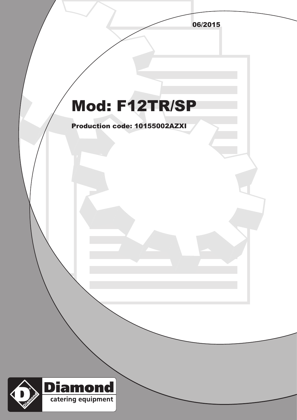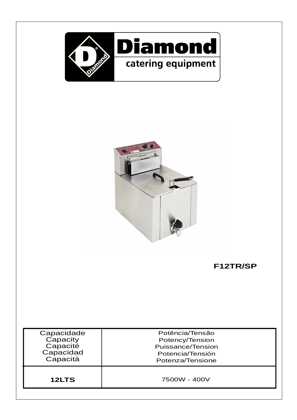



**F12TR/SP**

| Capacidade | Potência/Tensão   |
|------------|-------------------|
| Capacity   | Potency/Tension   |
| Capacité   | Puissance/Tension |
| Capacidad  | Potencia/Tensión  |
| Capacità   | Potenza/Tensione  |
| 12LTS      | 7500W - 400V      |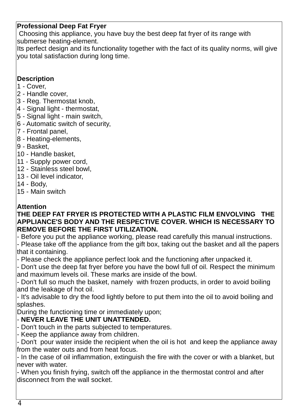### **Professional Deep Fat Fryer**

Choosing this appliance, you have buy the best deep fat fryer of its range with submerse heating-element.

Its perfect design and its functionality together with the fact of its quality norms, will give you total satisfaction during long time.

#### **Description**

- 1 Cover,
- 2 Handle cover,
- 3 Reg. Thermostat knob,
- 4 Signal light thermostat,
- 5 Signal light main switch,
- 6 Automatic switch of security,
- 7 Frontal panel,
- 8 Heating-elements,
- 9 Basket,
- 10 Handle basket,
- 11 Supply power cord,
- 12 Stainless steel bowl,
- 13 Oil level indicator,
- 14 Body,
- 15 Main switch

#### **Attention**

#### **THE DEEP FAT FRYER IS PROTECTED WITH A PLASTIC FILM ENVOLVING THE APPLIANCE'S BODY AND THE RESPECTIVE COVER. WHICH IS NECESSARY TO REMOVE BEFORE THE FIRST UTILIZATION.**

- Before you put the appliance working, please read carefully this manual instructions. - Please take off the appliance from the gift box, taking out the basket and all the papers that it containing.

- Please check the appliance perfect look and the functioning after unpacked it.

- Don't use the deep fat fryer before you have the bowl full of oil. Respect the minimum and maximum levels oil. These marks are inside of the bowl.

- Don't full so much the basket, namely with frozen products, in order to avoid boiling and the leakage of hot oil.

- It's advisable to dry the food lightly before to put them into the oil to avoid boiling and splashes.

During the functioning time or immediately upon;

### **NEVER LEAVE THE UNIT UNATTENDED.** -

- Don't touch in the parts subjected to temperatures.

- Keep the appliance away from children.

- Don't pour water inside the recipient when the oil is hot and keep the appliance away from the water outs and from heat focus.

- In the case of oil inflammation, extinguish the fire with the cover or with a blanket, but never with water.

- When you finish frying, switch off the appliance in the thermostat control and after disconnect from the wall socket.